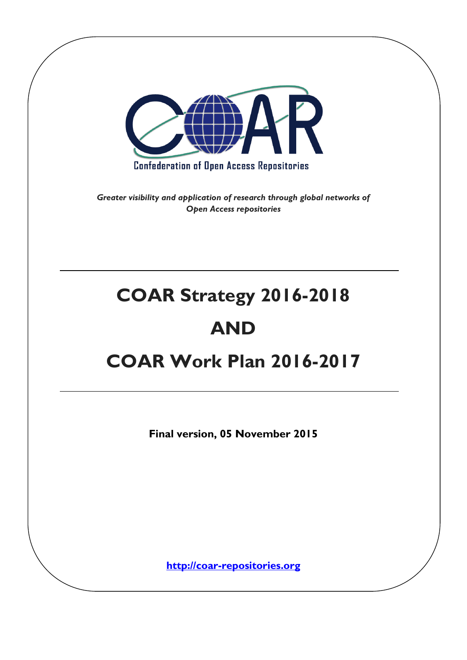

*Greater visibility and application of research through global networks of Open Access repositories*

# **COAR Strategy 2016-2018 AND**

## **COAR Work Plan 2016-2017**

**Final version, 05 November 2015**

**[http://coar-repositories.org](http://coar-repositories.org/)**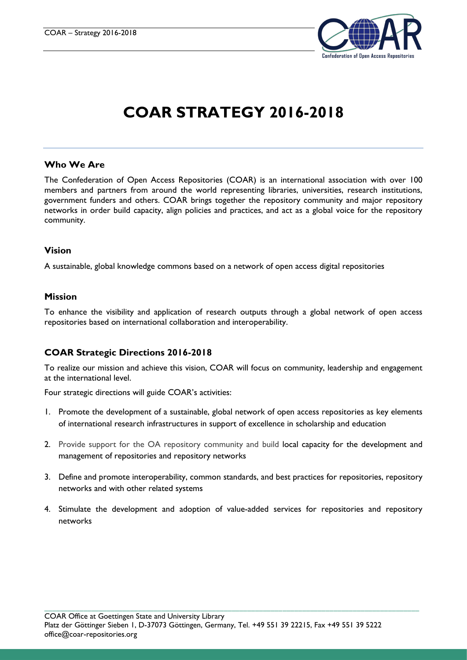

### **COAR STRATEGY 2016-2018**

#### **Who We Are**

The Confederation of Open Access Repositories (COAR) is an international association with over 100 members and partners from around the world representing libraries, universities, research institutions, government funders and others. COAR brings together the repository community and major repository networks in order build capacity, align policies and practices, and act as a global voice for the repository community.

#### **Vision**

A sustainable, global knowledge commons based on a network of open access digital repositories

#### **Mission**

To enhance the visibility and application of research outputs through a global network of open access repositories based on international collaboration and interoperability.

#### **COAR Strategic Directions 2016-2018**

To realize our mission and achieve this vision, COAR will focus on community, leadership and engagement at the international level.

Four strategic directions will guide COAR's activities:

- 1. Promote the development of a sustainable, global network of open access repositories as key elements of international research infrastructures in support of excellence in scholarship and education
- 2. Provide support for the OA repository community and build local capacity for the development and management of repositories and repository networks
- 3. Define and promote interoperability, common standards, and best practices for repositories, repository networks and with other related systems
- 4. Stimulate the development and adoption of value-added services for repositories and repository networks

\_\_\_\_\_\_\_\_\_\_\_\_\_\_\_\_\_\_\_\_\_\_\_\_\_\_\_\_\_\_\_\_\_\_\_\_\_\_\_\_\_\_\_\_\_\_\_\_\_\_\_\_\_\_\_\_\_\_\_\_\_\_\_\_\_\_\_\_\_\_\_\_\_\_\_\_\_\_\_\_\_\_\_\_\_\_\_\_\_\_\_\_\_\_\_\_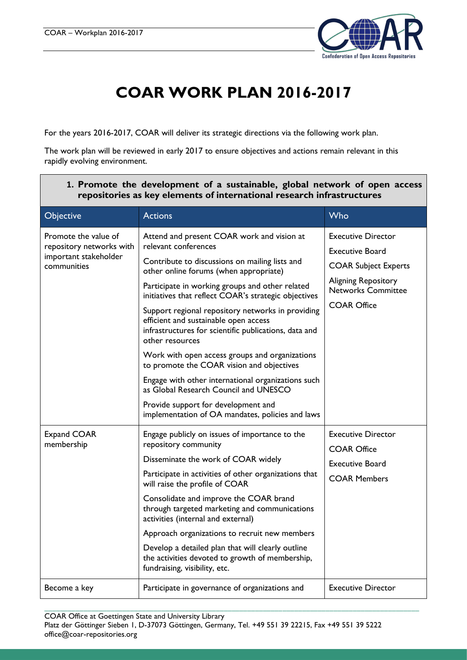

## **COAR WORK PLAN 2016-2017**

For the years 2016-2017, COAR will deliver its strategic directions via the following work plan.

The work plan will be reviewed in early 2017 to ensure objectives and actions remain relevant in this rapidly evolving environment.

| repositories as key elements of international research infrastructures                   |                                                                                                                                                                                                                                                                                                                                                                                                                                                                                                                                                                                                                                                   |                                                                                                                                                                     |  |
|------------------------------------------------------------------------------------------|---------------------------------------------------------------------------------------------------------------------------------------------------------------------------------------------------------------------------------------------------------------------------------------------------------------------------------------------------------------------------------------------------------------------------------------------------------------------------------------------------------------------------------------------------------------------------------------------------------------------------------------------------|---------------------------------------------------------------------------------------------------------------------------------------------------------------------|--|
| Objective                                                                                | <b>Actions</b>                                                                                                                                                                                                                                                                                                                                                                                                                                                                                                                                                                                                                                    | Who                                                                                                                                                                 |  |
| Promote the value of<br>repository networks with<br>important stakeholder<br>communities | Attend and present COAR work and vision at<br>relevant conferences<br>Contribute to discussions on mailing lists and<br>other online forums (when appropriate)<br>Participate in working groups and other related<br>initiatives that reflect COAR's strategic objectives<br>Support regional repository networks in providing<br>efficient and sustainable open access<br>infrastructures for scientific publications, data and<br>other resources<br>Work with open access groups and organizations<br>to promote the COAR vision and objectives<br>Engage with other international organizations such<br>as Global Research Council and UNESCO | <b>Executive Director</b><br><b>Executive Board</b><br><b>COAR Subject Experts</b><br><b>Aligning Repository</b><br><b>Networks Committee</b><br><b>COAR Office</b> |  |
|                                                                                          | Provide support for development and<br>implementation of OA mandates, policies and laws                                                                                                                                                                                                                                                                                                                                                                                                                                                                                                                                                           |                                                                                                                                                                     |  |
| Expand COAR<br>membership                                                                | Engage publicly on issues of importance to the<br>repository community<br>Disseminate the work of COAR widely<br>Participate in activities of other organizations that<br>will raise the profile of COAR<br>Consolidate and improve the COAR brand<br>through targeted marketing and communications<br>activities (internal and external)<br>Approach organizations to recruit new members<br>Develop a detailed plan that will clearly outline<br>the activities devoted to growth of membership,<br>fundraising, visibility, etc.                                                                                                               | <b>Executive Director</b><br><b>COAR Office</b><br><b>Executive Board</b><br><b>COAR Members</b>                                                                    |  |
| Become a key                                                                             | Participate in governance of organizations and                                                                                                                                                                                                                                                                                                                                                                                                                                                                                                                                                                                                    | <b>Executive Director</b>                                                                                                                                           |  |

#### **1. Promote the development of a sustainable, global network of open access repositories as key elements of international research infrastructures**

\_\_\_\_\_\_\_\_\_\_\_\_\_\_\_\_\_\_\_\_\_\_\_\_\_\_\_\_\_\_\_\_\_\_\_\_\_\_\_\_\_\_\_\_\_\_\_\_\_\_\_\_\_\_\_\_\_\_\_\_\_\_\_\_\_\_\_\_\_\_\_\_\_\_\_\_\_\_\_\_\_\_\_\_\_\_\_\_\_\_\_\_\_\_\_\_ COAR Office at Goettingen State and University Library Platz der Göttinger Sieben 1, D-37073 Göttingen, Germany, Tel. +49 551 39 22215, Fax +49 551 39 5222 office@coar-repositories.org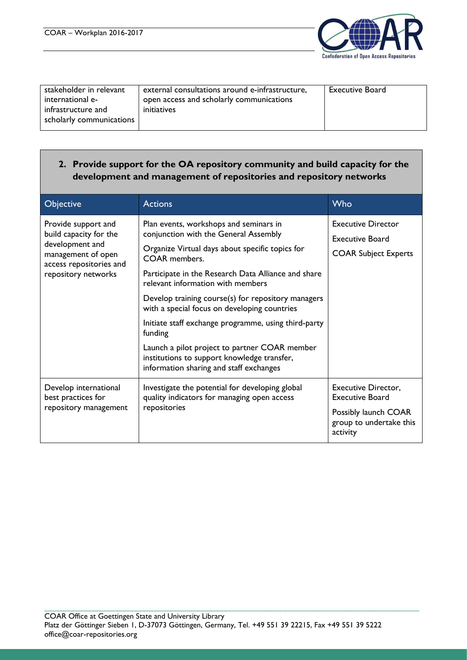

| stakeholder in relevant  | external consultations around e-infrastructure, | <b>Executive Board</b> |
|--------------------------|-------------------------------------------------|------------------------|
|                          |                                                 |                        |
| international e-         | open access and scholarly communications        |                        |
| infrastructure and       | initiatives                                     |                        |
| scholarly communications |                                                 |                        |
|                          |                                                 |                        |

#### **2. Provide support for the OA repository community and build capacity for the development and management of repositories and repository networks**

| <b>Objective</b>                                                                                                                         | <b>Actions</b>                                                                                                                                                                                                                                                                                                                                                                                                                                                                                                                                                             | Who                                                                                                          |
|------------------------------------------------------------------------------------------------------------------------------------------|----------------------------------------------------------------------------------------------------------------------------------------------------------------------------------------------------------------------------------------------------------------------------------------------------------------------------------------------------------------------------------------------------------------------------------------------------------------------------------------------------------------------------------------------------------------------------|--------------------------------------------------------------------------------------------------------------|
| Provide support and<br>build capacity for the<br>development and<br>management of open<br>access repositories and<br>repository networks | Plan events, workshops and seminars in<br>conjunction with the General Assembly<br>Organize Virtual days about specific topics for<br><b>COAR</b> members.<br>Participate in the Research Data Alliance and share<br>relevant information with members<br>Develop training course(s) for repository managers<br>with a special focus on developing countries<br>Initiate staff exchange programme, using third-party<br>funding<br>Launch a pilot project to partner COAR member<br>institutions to support knowledge transfer,<br>information sharing and staff exchanges | <b>Executive Director</b><br><b>Executive Board</b><br><b>COAR Subject Experts</b>                           |
| Develop international<br>best practices for<br>repository management                                                                     | Investigate the potential for developing global<br>quality indicators for managing open access<br>repositories                                                                                                                                                                                                                                                                                                                                                                                                                                                             | <b>Executive Director,</b><br>Executive Board<br>Possibly launch COAR<br>group to undertake this<br>activity |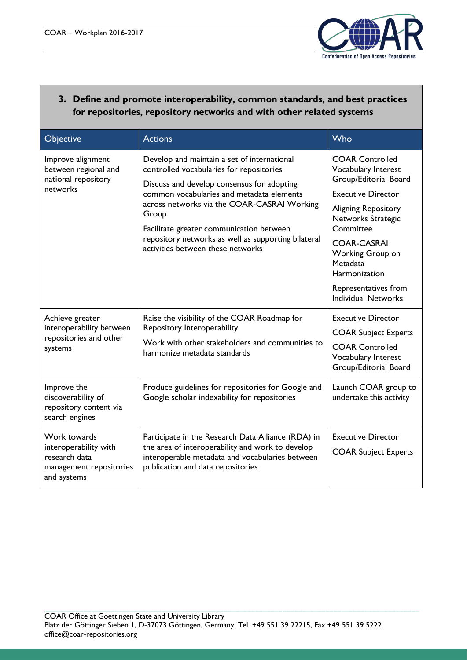

#### **3. Define and promote interoperability, common standards, and best practices for repositories, repository networks and with other related systems**

| Objective                                                                                        | <b>Actions</b>                                                                                                                                                                                                                                                                                                                                                                     | Who                                                                                                                                                                                                                                                                                                      |
|--------------------------------------------------------------------------------------------------|------------------------------------------------------------------------------------------------------------------------------------------------------------------------------------------------------------------------------------------------------------------------------------------------------------------------------------------------------------------------------------|----------------------------------------------------------------------------------------------------------------------------------------------------------------------------------------------------------------------------------------------------------------------------------------------------------|
| Improve alignment<br>between regional and<br>national repository<br>networks                     | Develop and maintain a set of international<br>controlled vocabularies for repositories<br>Discuss and develop consensus for adopting<br>common vocabularies and metadata elements<br>across networks via the COAR-CASRAI Working<br>Group<br>Facilitate greater communication between<br>repository networks as well as supporting bilateral<br>activities between these networks | <b>COAR Controlled</b><br><b>Vocabulary Interest</b><br>Group/Editorial Board<br><b>Executive Director</b><br><b>Aligning Repository</b><br>Networks Strategic<br>Committee<br><b>COAR-CASRAI</b><br>Working Group on<br>Metadata<br>Harmonization<br>Representatives from<br><b>Individual Networks</b> |
| Achieve greater<br>interoperability between<br>repositories and other<br>systems                 | Raise the visibility of the COAR Roadmap for<br>Repository Interoperability<br>Work with other stakeholders and communities to<br>harmonize metadata standards                                                                                                                                                                                                                     | <b>Executive Director</b><br><b>COAR Subject Experts</b><br><b>COAR Controlled</b><br>Vocabulary Interest<br>Group/Editorial Board                                                                                                                                                                       |
| Improve the<br>discoverability of<br>repository content via<br>search engines                    | Produce guidelines for repositories for Google and<br>Google scholar indexability for repositories                                                                                                                                                                                                                                                                                 | Launch COAR group to<br>undertake this activity                                                                                                                                                                                                                                                          |
| Work towards<br>interoperability with<br>research data<br>management repositories<br>and systems | Participate in the Research Data Alliance (RDA) in<br>the area of interoperability and work to develop<br>interoperable metadata and vocabularies between<br>publication and data repositories                                                                                                                                                                                     | <b>Executive Director</b><br><b>COAR Subject Experts</b>                                                                                                                                                                                                                                                 |